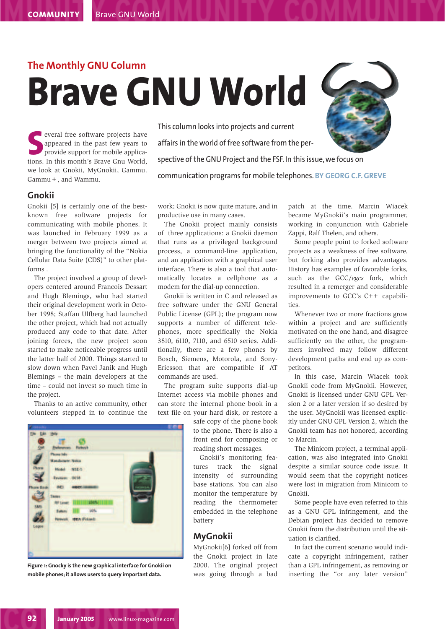# **The Monthly GNU Column Brave GNU World**

**S**<br>
several free software projects have<br>
appeared in the past few years to<br>
provide support for mobile applica-<br>
tions. In this month's Brave Gnu World, **everal free software projects have** appeared in the past few years to provide support for mobile applicawe look at Gnokii, MyGnokii, Gammu. Gammu+, and Wammu.

This column looks into projects and current affairs in the world of free software from the perspective of the GNU Project and the FSF. In this issue, we focus on communication programs for mobile telephones. **BY GEORG C.F. GREVE**

## **Gnokii**

Gnokii [5] is certainly one of the bestknown free software projects for communicating with mobile phones. It was launched in February 1999 as a merger between two projects aimed at bringing the functionality of the "Nokia Cellular Data Suite (CDS)" to other platforms .

The project involved a group of developers centered around Francois Dessart and Hugh Blemings, who had started their original development work in October 1998; Staffan Ulfberg had launched the other project, which had not actually produced any code to that date. After joining forces, the new project soon started to make noticeable progress until the latter half of 2000. Things started to slow down when Pavel Janik and Hugh Blemings – the main developers at the time – could not invest so much time in the project.

Thanks to an active community, other volunteers stepped in to continue the

**NSE-5** 194.94 ш **LON IDEA** Poland

**Figure 1: Gnocky is the new graphical interface for Gnokii on mobile phones; it allows users to query important data.**

work; Gnokii is now quite mature, and in productive use in many cases.

The Gnokii project mainly consists of three applications: a Gnokii daemon that runs as a privileged background process, a command-line application, and an application with a graphical user interface. There is also a tool that automatically locates a cellphone as a modem for the dial-up connection.

Gnokii is written in C and released as free software under the GNU General Public License (GPL); the program now supports a number of different telephones, more specifically the Nokia 3810, 6110, 7110, and 6510 series. Additionally, there are a few phones by Bosch, Siemens, Motorola, and Sony-Ericsson that are compatible if AT commands are used.

The program suite supports dial-up Internet access via mobile phones and can store the internal phone book in a text file on your hard disk, or restore a

> safe copy of the phone book to the phone. There is also a front end for composing or reading short messages.

> Gnokii's monitoring features track the signal intensity of surrounding base stations. You can also monitor the temperature by reading the thermometer embedded in the telephone battery

### **MyGnokii**

MyGnokii[6] forked off from the Gnokii project in late 2000. The original project was going through a bad patch at the time. Marcin Wiacek became MyGnokii's main programmer, working in conjunction with Gabriele Zappi, Ralf Thelen, and others.

Some people point to forked software projects as a weakness of free software, but forking also provides advantages. History has examples of favorable forks, such as the GCC/*egcs* fork, which resulted in a remerger and considerable improvements to GCC's C++ capabilities.

Whenever two or more fractions grow within a project and are sufficiently motivated on the one hand, and disagree sufficiently on the other, the programmers involved may follow different development paths and end up as competitors.

In this case, Marcin Wiacek took Gnokii code from MyGnokii. However, Gnokii is licensed under GNU GPL Version 2 or a later version if so desired by the user. MyGnokii was licensed explicitly under GNU GPL Version 2, which the Gnokii team has not honored, according to Marcin.

The Minicom project, a terminal application, was also integrated into Gnokii despite a similar source code issue. It would seem that the copyright notices were lost in migration from Minicom to Gnokii.

Some people have even referred to this as a GNU GPL infringement, and the Debian project has decided to remove Gnokii from the distribution until the situation is clarified.

In fact the current scenario would indicate a copyright infringement, rather than a GPL infringement, as removing or inserting the "or any later version"